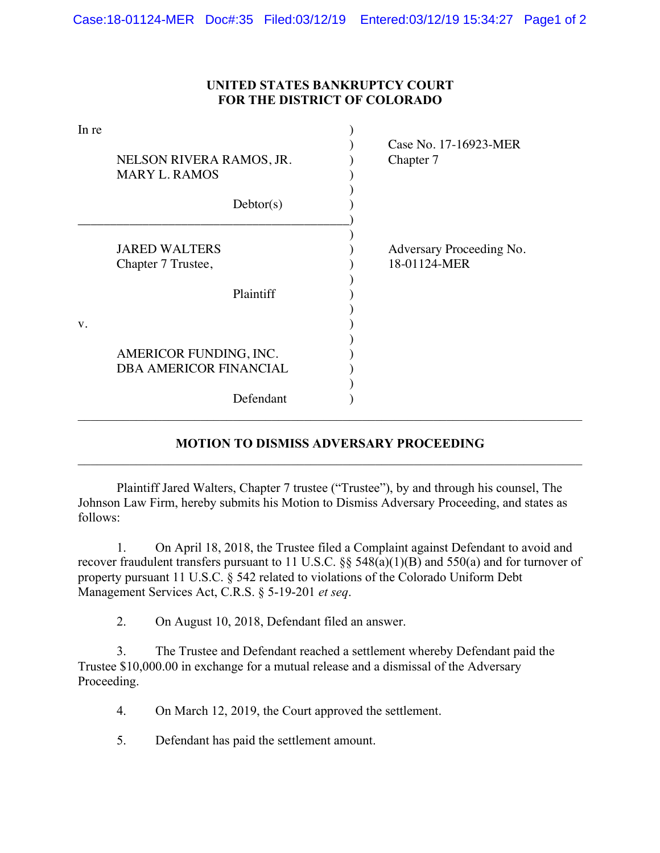## **UNITED STATES BANKRUPTCY COURT FOR THE DISTRICT OF COLORADO**

| In re | NELSON RIVERA RAMOS, JR.<br><b>MARY L. RAMOS</b> | Case No. 17-16923-MER<br>Chapter 7       |
|-------|--------------------------------------------------|------------------------------------------|
|       | Dektor(s)                                        |                                          |
|       | <b>JARED WALTERS</b><br>Chapter 7 Trustee,       | Adversary Proceeding No.<br>18-01124-MER |
|       | Plaintiff                                        |                                          |
| V.    |                                                  |                                          |
|       | AMERICOR FUNDING, INC.                           |                                          |
|       | DBA AMERICOR FINANCIAL                           |                                          |
|       | Defendant                                        |                                          |

## **MOTION TO DISMISS ADVERSARY PROCEEDING**  \_\_\_\_\_\_\_\_\_\_\_\_\_\_\_\_\_\_\_\_\_\_\_\_\_\_\_\_\_\_\_\_\_\_\_\_\_\_\_\_\_\_\_\_\_\_\_\_\_\_\_\_\_\_\_\_\_\_\_\_\_\_\_\_\_\_\_\_\_\_\_\_\_\_\_\_\_\_

 Plaintiff Jared Walters, Chapter 7 trustee ("Trustee"), by and through his counsel, The Johnson Law Firm, hereby submits his Motion to Dismiss Adversary Proceeding, and states as follows:

1. On April 18, 2018, the Trustee filed a Complaint against Defendant to avoid and recover fraudulent transfers pursuant to 11 U.S.C. §§ 548(a)(1)(B) and 550(a) and for turnover of property pursuant 11 U.S.C. § 542 related to violations of the Colorado Uniform Debt Management Services Act, C.R.S. § 5-19-201 *et seq*.

2. On August 10, 2018, Defendant filed an answer.

3. The Trustee and Defendant reached a settlement whereby Defendant paid the Trustee \$10,000.00 in exchange for a mutual release and a dismissal of the Adversary Proceeding.

- 4. On March 12, 2019, the Court approved the settlement.
- 5. Defendant has paid the settlement amount.